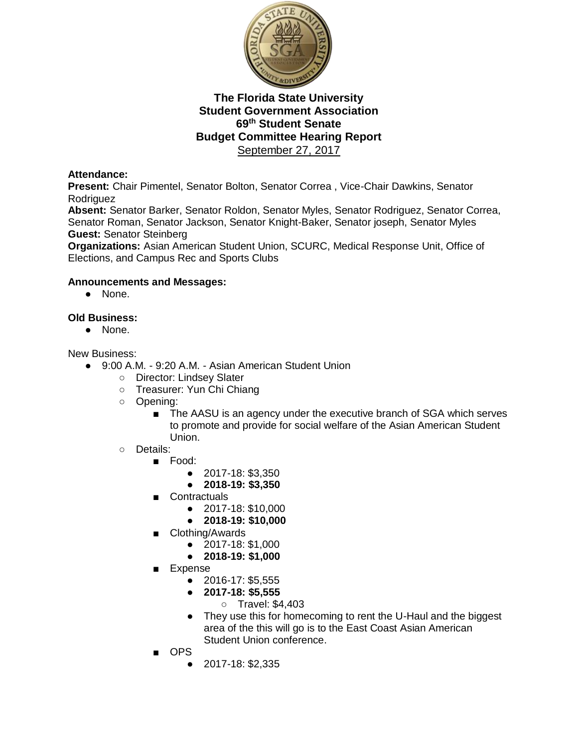

# **Attendance:**

**Present:** Chair Pimentel, Senator Bolton, Senator Correa , Vice-Chair Dawkins, Senator **Rodriguez** 

**Absent:** Senator Barker, Senator Roldon, Senator Myles, Senator Rodriguez, Senator Correa, Senator Roman, Senator Jackson, Senator Knight-Baker, Senator joseph, Senator Myles **Guest:** Senator Steinberg

**Organizations:** Asian American Student Union, SCURC, Medical Response Unit, Office of Elections, and Campus Rec and Sports Clubs

#### **Announcements and Messages:**

● None.

#### **Old Business:**

● None.

#### New Business:

- 9:00 A.M. 9:20 A.M. Asian American Student Union
	- Director: Lindsey Slater
	- Treasurer: Yun Chi Chiang
	- Opening:
		- The AASU is an agency under the executive branch of SGA which serves to promote and provide for social welfare of the Asian American Student Union.
	- Details:
		- Food:
			- 2017-18: \$3,350
			- **2018-19: \$3,350**
			- Contractuals
				- 2017-18: \$10,000
				- **2018-19: \$10,000**
			- Clothing/Awards
				- 2017-18: \$1,000
				- **2018-19: \$1,000**
			- **Expense** 
				- 2016-17: \$5,555
				- **2017-18: \$5,555**
					- Travel: \$4,403
				- They use this for homecoming to rent the U-Haul and the biggest area of the this will go is to the East Coast Asian American Student Union conference.
			- OPS
				- 2017-18: \$2,335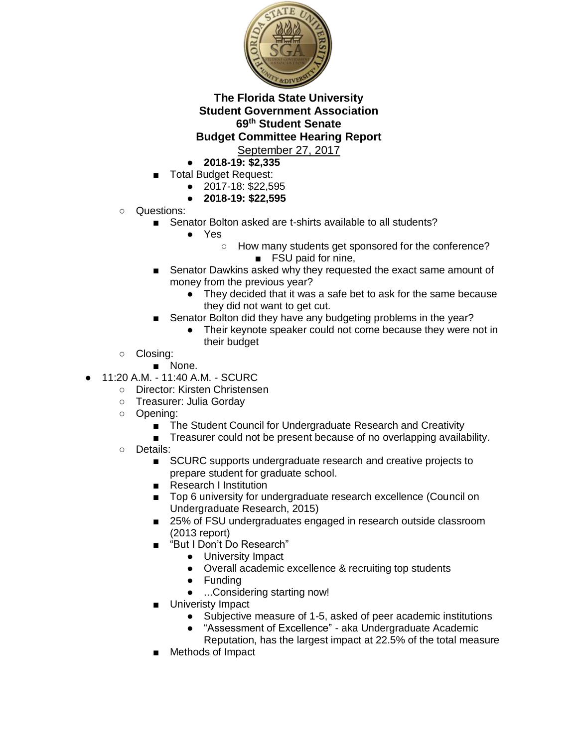

- **2018-19: \$2,335**
- Total Budget Request:
	- 2017-18: \$22,595
	- **2018-19: \$22,595**
- Questions:
	- Senator Bolton asked are t-shirts available to all students?
		- Yes
			- How many students get sponsored for the conference?
				- FSU paid for nine,
	- Senator Dawkins asked why they requested the exact same amount of money from the previous year?
		- They decided that it was a safe bet to ask for the same because they did not want to get cut.
	- Senator Bolton did they have any budgeting problems in the year?
		- Their keynote speaker could not come because they were not in their budget
- Closing:
	- None.
- 11:20 A.M. 11:40 A.M. SCURC
	- Director: Kirsten Christensen
	- Treasurer: Julia Gorday
	- Opening:
		- The Student Council for Undergraduate Research and Creativity
		- Treasurer could not be present because of no overlapping availability.
	- Details:
		- SCURC supports undergraduate research and creative projects to prepare student for graduate school.
		- Research I Institution
		- Top 6 university for undergraduate research excellence (Council on Undergraduate Research, 2015)
		- 25% of FSU undergraduates engaged in research outside classroom (2013 report)
		- "But I Don't Do Research"
			- University Impact
			- Overall academic excellence & recruiting top students
			- Funding
			- ...Considering starting now!
			- Univeristy Impact
				- Subjective measure of 1-5, asked of peer academic institutions
				- "Assessment of Excellence" aka Undergraduate Academic Reputation, has the largest impact at 22.5% of the total measure
		- Methods of Impact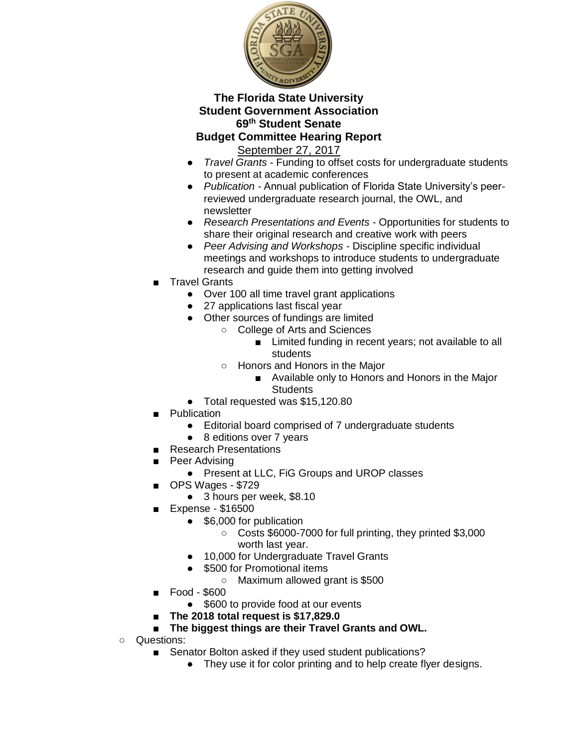

September 27, 2017

- *Travel Grants* Funding to offset costs for undergraduate students to present at academic conferences
- *Publication -* Annual publication of Florida State University's peerreviewed undergraduate research journal, the OWL, and newsletter
- *Research Presentations and Events* Opportunities for students to share their original research and creative work with peers
- *Peer Advising and Workshops -* Discipline specific individual meetings and workshops to introduce students to undergraduate research and guide them into getting involved
- Travel Grants
	- Over 100 all time travel grant applications
	- 27 applications last fiscal year
	- Other sources of fundings are limited
		- College of Arts and Sciences
			- Limited funding in recent years; not available to all students
			- Honors and Honors in the Major
				- Available only to Honors and Honors in the Major **Students**
	- Total requested was \$15,120.80
- Publication
	- Editorial board comprised of 7 undergraduate students
	- 8 editions over 7 years
	- **Research Presentations**
- Peer Advising
	- Present at LLC, FiG Groups and UROP classes
- OPS Wages \$729
	- 3 hours per week, \$8.10
- Expense \$16500
	- \$6,000 for publication
		- Costs \$6000-7000 for full printing, they printed \$3,000 worth last year.
	- 10,000 for Undergraduate Travel Grants
	- \$500 for Promotional items
		- Maximum allowed grant is \$500
- Food \$600
	- \$600 to provide food at our events
- **The 2018 total request is \$17,829.0**
- The biggest things are their Travel Grants and OWL.
- Questions:
	- Senator Bolton asked if they used student publications?
		- They use it for color printing and to help create flyer designs.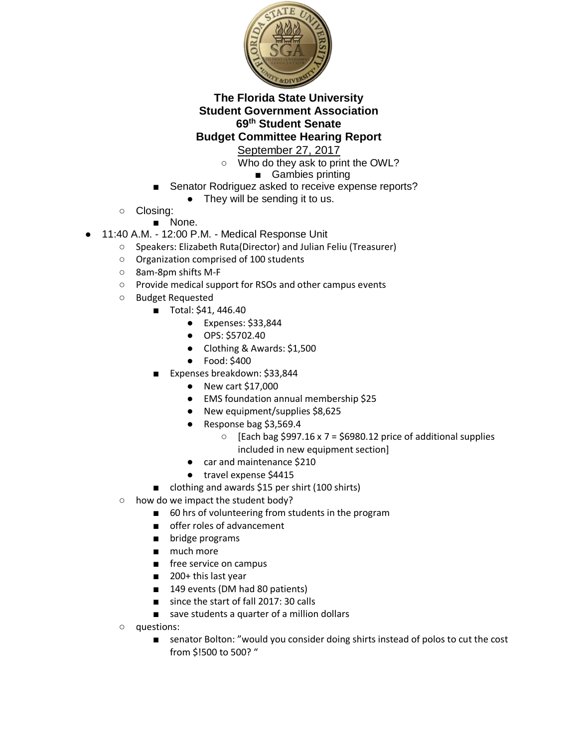

September 27, 2017

- Who do they ask to print the OWL?
	- Gambies printing
- Senator Rodriguez asked to receive expense reports?
	- They will be sending it to us.
- Closing:
	- None.
- 11:40 A.M. 12:00 P.M. Medical Response Unit
	- Speakers: Elizabeth Ruta(Director) and Julian Feliu (Treasurer)
	- Organization comprised of 100 students
	- 8am-8pm shifts M-F
	- Provide medical support for RSOs and other campus events
	- Budget Requested
		- Total: \$41, 446.40
			- Expenses: \$33,844
			- OPS: \$5702.40
			- Clothing & Awards: \$1,500
			- Food: \$400
		- Expenses breakdown: \$33,844
			- New cart \$17,000
			- EMS foundation annual membership \$25
			- New equipment/supplies \$8,625
			- Response bag \$3,569.4
				- $\circ$  [Each bag \$997.16 x 7 = \$6980.12 price of additional supplies included in new equipment section]
			- car and maintenance \$210
			- travel expense \$4415
		- clothing and awards \$15 per shirt (100 shirts)
	- how do we impact the student body?
		- 60 hrs of volunteering from students in the program
		- offer roles of advancement
		- bridge programs
		- much more
		- free service on campus
		- 200+ this last year
		- 149 events (DM had 80 patients)
		- since the start of fall 2017: 30 calls
		- save students a quarter of a million dollars
	- questions:
		- senator Bolton: "would you consider doing shirts instead of polos to cut the cost from \$!500 to 500? "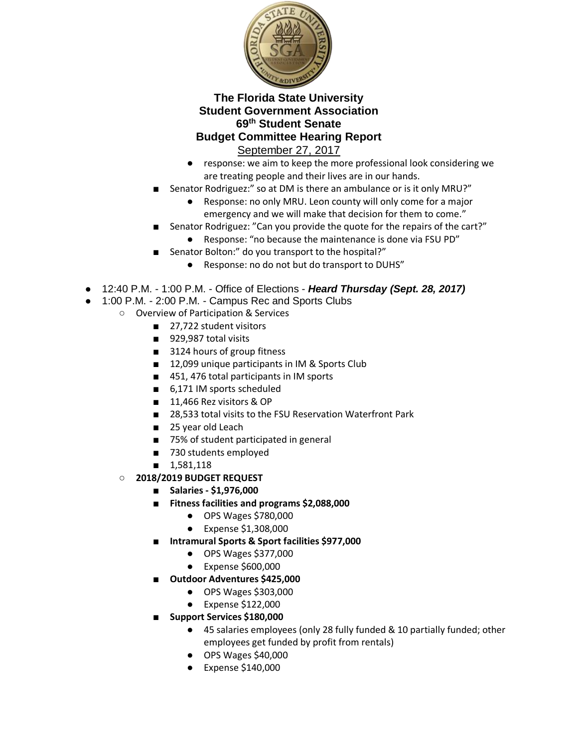

- response: we aim to keep the more professional look considering we are treating people and their lives are in our hands.
- Senator Rodriguez:" so at DM is there an ambulance or is it only MRU?"
	- Response: no only MRU. Leon county will only come for a major emergency and we will make that decision for them to come."
- Senator Rodriguez: "Can you provide the quote for the repairs of the cart?"
	- Response: "no because the maintenance is done via FSU PD"
- Senator Bolton:" do you transport to the hospital?"
	- Response: no do not but do transport to DUHS"
- 12:40 P.M. 1:00 P.M. Office of Elections *Heard Thursday (Sept. 28, 2017)*
- 1:00 P.M. 2:00 P.M. Campus Rec and Sports Clubs
	- Overview of Participation & Services
		- 27,722 student visitors
		- 929,987 total visits
		- 3124 hours of group fitness
		- 12,099 unique participants in IM & Sports Club
		- 451, 476 total participants in IM sports
		- 6,171 IM sports scheduled
		- 11,466 Rez visitors & OP
		- 28,533 total visits to the FSU Reservation Waterfront Park
		- 25 year old Leach
		- 75% of student participated in general
		- 730 students employed
		- 1,581,118
	- **2018/2019 BUDGET REQUEST**
		- **Salaries - \$1,976,000**
		- **Fitness facilities and programs \$2,088,000**
			- OPS Wages \$780,000
			- Expense \$1,308,000
		- **Intramural Sports & Sport facilities \$977,000**
			- OPS Wages \$377,000
			- Expense \$600,000
		- **Outdoor Adventures \$425,000**
			- OPS Wages \$303,000
			- Expense \$122,000
		- **Support Services \$180,000**
			- 45 salaries employees (only 28 fully funded & 10 partially funded; other employees get funded by profit from rentals)
			- OPS Wages \$40,000
			- Expense \$140,000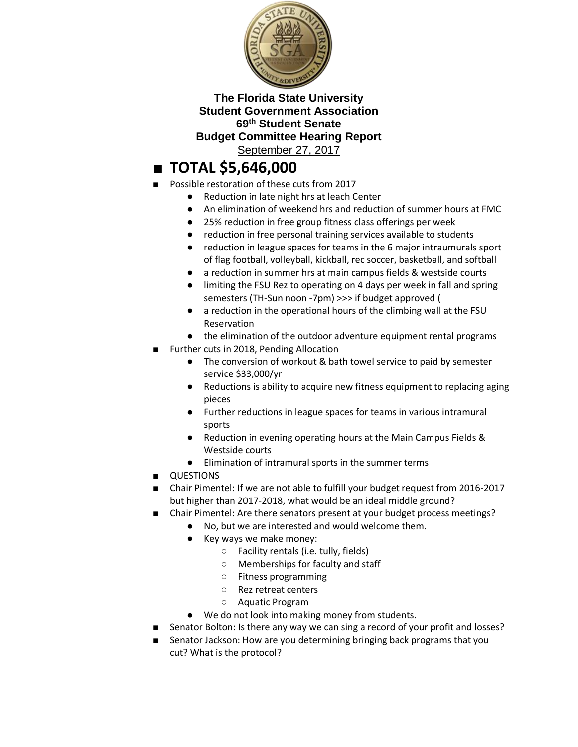

# ■ **TOTAL \$5,646,000**

- Possible restoration of these cuts from 2017
	- Reduction in late night hrs at leach Center
	- An elimination of weekend hrs and reduction of summer hours at FMC
	- 25% reduction in free group fitness class offerings per week
	- reduction in free personal training services available to students
	- reduction in league spaces for teams in the 6 major intraumurals sport of flag football, volleyball, kickball, rec soccer, basketball, and softball
	- a reduction in summer hrs at main campus fields & westside courts
	- limiting the FSU Rez to operating on 4 days per week in fall and spring semesters (TH-Sun noon -7pm) >>> if budget approved (
	- a reduction in the operational hours of the climbing wall at the FSU Reservation
	- the elimination of the outdoor adventure equipment rental programs
- Further cuts in 2018, Pending Allocation
	- The conversion of workout & bath towel service to paid by semester service \$33,000/yr
	- Reductions is ability to acquire new fitness equipment to replacing aging pieces
	- Further reductions in league spaces for teams in various intramural sports
	- Reduction in evening operating hours at the Main Campus Fields & Westside courts
	- Elimination of intramural sports in the summer terms
- QUESTIONS
- Chair Pimentel: If we are not able to fulfill your budget request from 2016-2017 but higher than 2017-2018, what would be an ideal middle ground?
- Chair Pimentel: Are there senators present at your budget process meetings?
	- No, but we are interested and would welcome them.
	- Key ways we make money:
		- Facility rentals (i.e. tully, fields)
		- Memberships for faculty and staff
		- Fitness programming
		- Rez retreat centers
		- Aquatic Program
	- We do not look into making money from students.
- Senator Bolton: Is there any way we can sing a record of your profit and losses?
- Senator Jackson: How are you determining bringing back programs that you cut? What is the protocol?